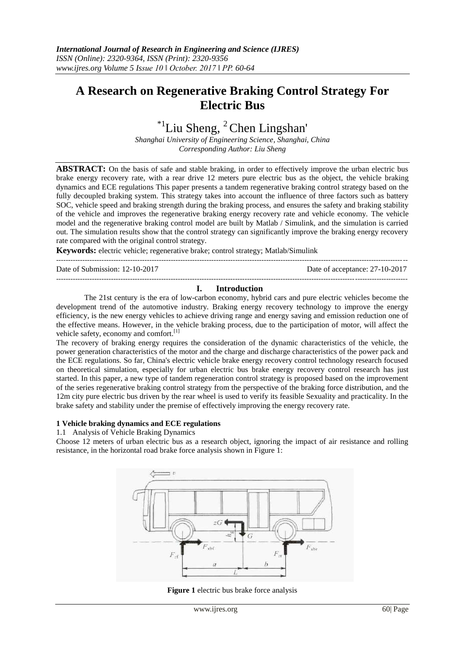# **A Research on Regenerative Braking Control Strategy For Electric Bus**

 $*$ <sup>1</sup>Liu Sheng, <sup>2</sup>Chen Lingshan'

*Shanghai University of Engineering Science, Shanghai, China Corresponding Author: Liu Sheng*

**ABSTRACT:** On the basis of safe and stable braking, in order to effectively improve the urban electric bus brake energy recovery rate, with a rear drive 12 meters pure electric bus as the object, the vehicle braking dynamics and ECE regulations This paper presents a tandem regenerative braking control strategy based on the fully decoupled braking system. This strategy takes into account the influence of three factors such as battery SOC, vehicle speed and braking strength during the braking process, and ensures the safety and braking stability of the vehicle and improves the regenerative braking energy recovery rate and vehicle economy. The vehicle model and the regenerative braking control model are built by Matlab / Simulink, and the simulation is carried out. The simulation results show that the control strategy can significantly improve the braking energy recovery rate compared with the original control strategy.

**Keywords:** electric vehicle; regenerative brake; control strategy; Matlab/Simulink

--------------------------------------------------------------------------------------------------------------------------------------------------- Date of Submission: 12-10-2017 Date of acceptance: 27-10-2017

#### --------------------------------------------------------------------------------------------------------------------------------------------------- **I. Introduction**

The 21st century is the era of low-carbon economy, hybrid cars and pure electric vehicles become the development trend of the automotive industry. Braking energy recovery technology to improve the energy efficiency, is the new energy vehicles to achieve driving range and energy saving and emission reduction one of the effective means. However, in the vehicle braking process, due to the participation of motor, will affect the vehicle safety, economy and comfort.<sup>[1]</sup>

The recovery of braking energy requires the consideration of the dynamic characteristics of the vehicle, the power generation characteristics of the motor and the charge and discharge characteristics of the power pack and the ECE regulations. So far, China's electric vehicle brake energy recovery control technology research focused on theoretical simulation, especially for urban electric bus brake energy recovery control research has just started. In this paper, a new type of tandem regeneration control strategy is proposed based on the improvement of the series regenerative braking control strategy from the perspective of the braking force distribution, and the 12m city pure electric bus driven by the rear wheel is used to verify its feasible Sexuality and practicality. In the brake safety and stability under the premise of effectively improving the energy recovery rate.

### **1 Vehicle braking dynamics and ECE regulations**

1.1 Analysis of Vehicle Braking Dynamics

Choose 12 meters of urban electric bus as a research object, ignoring the impact of air resistance and rolling resistance, in the horizontal road brake force analysis shown in Figure 1:



**Figure 1** electric bus brake force analysis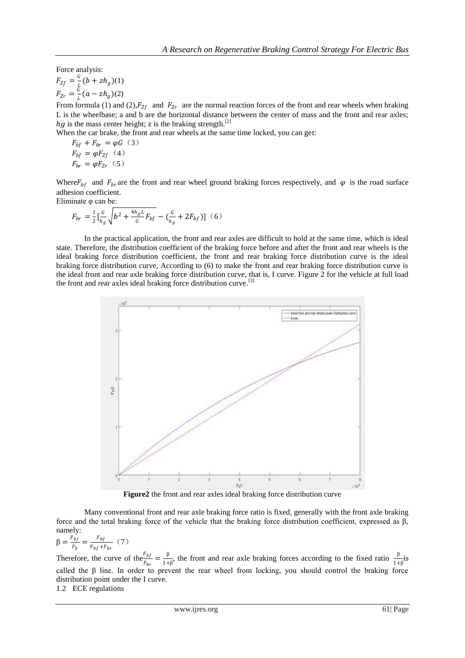Force analysis:  $F_{Zf}=\frac{G}{I}$  $\frac{d}{L}(b + zh_g)(1)$  $F_{Zr}=\frac{G}{I}$  $\frac{a}{L}(a - zh_g)(2)$ 

From formula (1) and (2),  $F_{Zf}$  and  $F_{Zr}$  are the normal reaction forces of the front and rear wheels when braking L is the wheelbase; a and b are the horizontal distance between the center of mass and the front and rear axles;  $hg$  is the mass center height; z is the braking strength.<sup>[2]</sup>

When the car brake, the front and rear wheels at the same time locked, you can get:

$$
F_{bf} + F_{br} = \varphi G \quad (3)
$$
  

$$
F_{bf} = \varphi F_{Zf} \quad (4)
$$
  

$$
F_{br} = \varphi F_{Zr} \quad (5)
$$

Where  $F_{bf}$  and  $F_{br}$  are the front and rear wheel ground braking forces respectively, and  $\varphi$  is the road surface adhesion coefficient.

Eliminate φ can be:

$$
F_{br} = \frac{1}{2} \left[ \frac{G}{h_g} \sqrt{b^2 + \frac{4h_g L}{G} F_{bf}} - \left( \frac{G}{h_g} + 2F_{bf} \right) \right] (6)
$$

In the practical application, the front and rear axles are difficult to hold at the same time, which is ideal state. Therefore, the distribution coefficient of the braking force before and after the front and rear wheels is the ideal braking force distribution coefficient, the front and rear braking force distribution curve is the ideal braking force distribution curve, According to (6) to make the front and rear braking force distribution curve is the ideal front and rear axle braking force distribution curve, that is, I curve. Figure 2 for the vehicle at full load the front and rear axles ideal braking force distribution curve.<sup>[3]</sup>



**Figure2** the front and rear axles ideal braking force distribution curve

Many conventional front and rear axle braking force ratio is fixed, generally with the front axle braking force and the total braking force of the vehicle that the braking force distribution coefficient, expressed as β, namely:

$$
\beta = \frac{F_{bf}}{F_b} = \frac{F_{bf}}{F_{bf} + F_{br}} (7)
$$

Therefore, the curve of the  $\frac{F_{bf}}{F_{br}} = \frac{\beta}{1 + \beta}$  $\frac{\beta}{1+\beta}$ , the front and rear axle braking forces according to the fixed ratio  $\frac{\beta}{1+\beta}$ is called the  $\beta$  line. In order to prevent the rear wheel from locking, you should control the braking force distribution point under the I curve.

1.2 ECE regulations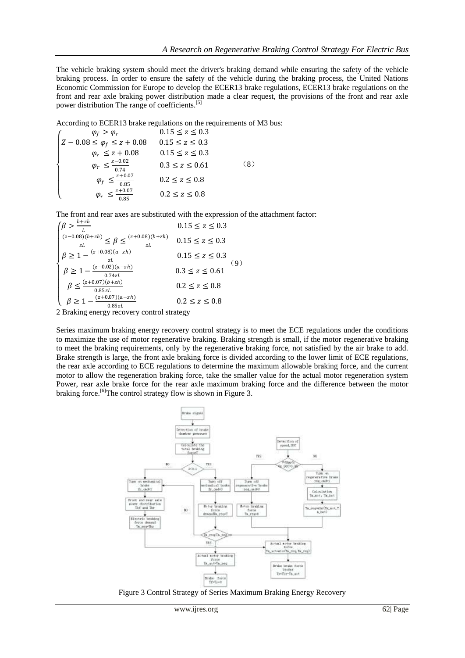The vehicle braking system should meet the driver's braking demand while ensuring the safety of the vehicle braking process. In order to ensure the safety of the vehicle during the braking process, the United Nations Economic Commission for Europe to develop the ECER13 brake regulations, ECER13 brake regulations on the front and rear axle braking power distribution made a clear request, the provisions of the front and rear axle power distribution The range of coefficients.[5]

According to ECER13 brake regulations on the requirements of M3 bus:

$$
\begin{cases}\n\varphi_f > \varphi_r & 0.15 \le z \le 0.3 \\
Z - 0.08 \le \varphi_f \le z + 0.08 & 0.15 \le z \le 0.3 \\
\varphi_r \le z + 0.08 & 0.15 \le z \le 0.3 \\
\varphi_r \le \frac{z - 0.02}{0.74} & 0.3 \le z \le 0.61 \\
\varphi_f \le \frac{z + 0.07}{0.85} & 0.2 \le z \le 0.8 \\
\varphi_r \le \frac{z + 0.07}{0.85} & 0.2 \le z \le 0.8\n\end{cases} \tag{8}
$$

The front and rear axes are substituted with the expression of the attachment factor:

$$
\begin{cases}\n\beta > \frac{b + zh}{L} & 0.15 \le z \le 0.3 \\
\frac{(z - 0.08)(b + zh)}{zL} \le \beta \le \frac{(z + 0.08)(b + zh)}{zL} & 0.15 \le z \le 0.3 \\
\beta \ge 1 - \frac{(z + 0.08)(a - zh)}{zL} & 0.15 \le z \le 0.3 \\
\beta \ge 1 - \frac{(z - 0.02)(a - zh)}{0.74zL} & 0.3 \le z \le 0.61 \\
\beta \ge 1 - \frac{(z + 0.07)(b + zh)}{0.85zL} & 0.2 \le z \le 0.8 \\
\beta \ge 1 - \frac{(z + 0.07)(a - zh)}{0.85zL} & 0.2 \le z \le 0.8\n\end{cases} (9)
$$

 $\begin{array}{c}\n\sqrt{P} = 1 \\
2 \text{ Braking energy recovery control strategy}\n\end{array}$ 

Series maximum braking energy recovery control strategy is to meet the ECE regulations under the conditions to maximize the use of motor regenerative braking. Braking strength is small, if the motor regenerative braking to meet the braking requirements, only by the regenerative braking force, not satisfied by the air brake to add. Brake strength is large, the front axle braking force is divided according to the lower limit of ECE regulations, the rear axle according to ECE regulations to determine the maximum allowable braking force, and the current motor to allow the regeneration braking force, take the smaller value for the actual motor regeneration system Power, rear axle brake force for the rear axle maximum braking force and the difference between the motor braking force.<sup>[6]</sup>The control strategy flow is shown in Figure 3.



Figure 3 Control Strategy of Series Maximum Braking Energy Recovery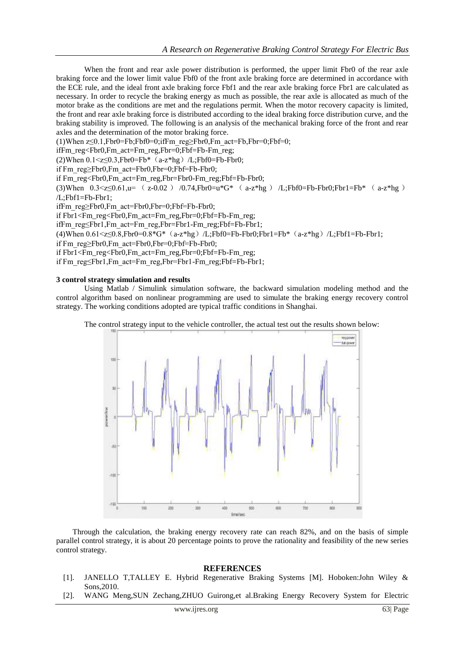When the front and rear axle power distribution is performed, the upper limit Fbr0 of the rear axle braking force and the lower limit value Fbf0 of the front axle braking force are determined in accordance with the ECE rule, and the ideal front axle braking force Fbf1 and the rear axle braking force Fbr1 are calculated as necessary. In order to recycle the braking energy as much as possible, the rear axle is allocated as much of the motor brake as the conditions are met and the regulations permit. When the motor recovery capacity is limited, the front and rear axle braking force is distributed according to the ideal braking force distribution curve, and the braking stability is improved. The following is an analysis of the mechanical braking force of the front and rear axles and the determination of the motor braking force.

(1)When  $z \le 0.1$ ,Fbr0=Fb;Fbf0=0;ifFm reg $\ge$ Fbr0,Fm act=Fb,Fbr=0;Fbf=0;

ifFm\_reg<Fbr0,Fm\_act=Fm\_reg,Fbr=0;Fbf=Fb-Fm\_reg;

(2)When  $0.1 \le z \le 0.3$ . Fbr $0 = Fb^*$  (a-z\*hg)/L;Fbf $0 = Fb$ -Fbr $0$ ;

if Fm\_reg>Fbr0.Fm\_act=Fbr0.Fbr=0:Fbf=Fb-Fbr0;

if Fm\_reg<Fbr0,Fm\_act=Fm\_reg,Fbr=Fbr0-Fm\_reg;Fbf=Fb-Fbr0;

(3)When  $0.3 \le z \le 0.61$ ,u= ( $z - 0.02$ ) /0.74,Fbr0=u\*G\* ( $a-z$ \*hg) /L;Fbf0=Fb-Fbr0;Fbr1=Fb\* ( $a-z$ \*hg) /L;Fbf1=Fb-Fbr1;

ifFm\_reg≥Fbr0,Fm\_act=Fbr0,Fbr=0;Fbf=Fb-Fbr0;

if Fbr1<Fm\_reg<Fbr0,Fm\_act=Fm\_reg,Fbr=0;Fbf=Fb-Fm\_reg;

ifFm\_reg≤Fbr1,Fm\_act=Fm\_reg,Fbr=Fbr1-Fm\_reg;Fbf=Fb-Fbr1;

(4)When  $0.61 \le z \le 0.8$ , Fbr0= $0.8*G^*$  (a-z\*hg) /L;Fbf0=Fb-Fbr0;Fbr1=Fb\* (a-z\*hg) /L;Fbf1=Fb-Fbr1;

if Fm\_reg≥Fbr0,Fm\_act=Fbr0,Fbr=0;Fbf=Fb-Fbr0;

if Fbr1<Fm\_reg<Fbr0,Fm\_act=Fm\_reg,Fbr=0;Fbf=Fb-Fm\_reg;

if Fm\_reg≤Fbr1,Fm\_act=Fm\_reg,Fbr=Fbr1-Fm\_reg;Fbf=Fb-Fbr1;

### **3 control strategy simulation and results**

Using Matlab / Simulink simulation software, the backward simulation modeling method and the control algorithm based on nonlinear programming are used to simulate the braking energy recovery control strategy. The working conditions adopted are typical traffic conditions in Shanghai.



The control strategy input to the vehicle controller, the actual test out the results shown below:

Through the calculation, the braking energy recovery rate can reach 82%, and on the basis of simple parallel control strategy, it is about 20 percentage points to prove the rationality and feasibility of the new series control strategy.

## **REFERENCES**

- [1]. JANELLO T,TALLEY E. Hybrid Regenerative Braking Systems [M]. Hoboken:John Wiley & Sons,2010.
- [2]. WANG Meng,SUN Zechang,ZHUO Guirong,et al.Braking Energy Recovery System for Electric